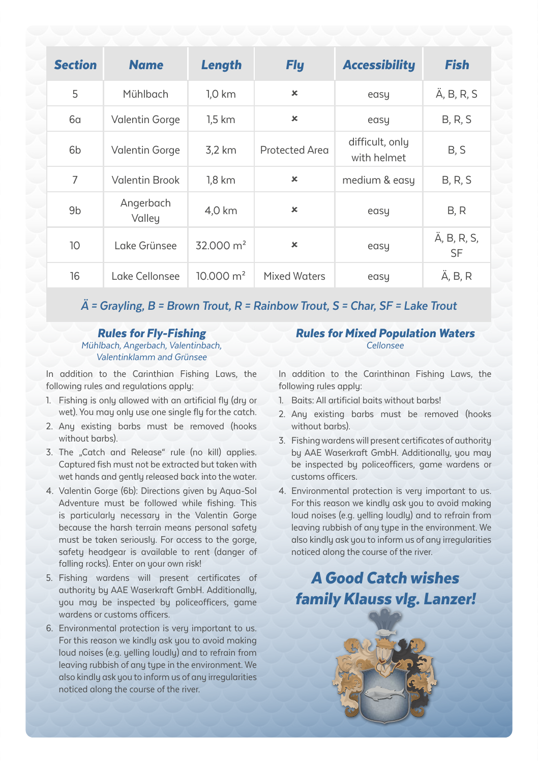| <b>Section</b> | <b>Name</b>         | Length               | <b>Fly</b>                | <b>Accessibility</b>           | <b>Fish</b>       |
|----------------|---------------------|----------------------|---------------------------|--------------------------------|-------------------|
| 5              | Mühlbach            | 1.0 km               | ×                         | easy                           | Ä, B, R, S        |
| 6а             | Valentin Gorge      | $1.5 \mathrm{km}$    | ×                         | easy                           | B, R, S           |
| 6b             | Valentin Gorge      | 3.2 km               | Protected Area            | difficult, only<br>with helmet | B, S              |
| 7              | Valentin Brook      | $1.8 \mathrm{km}$    | $\boldsymbol{\mathsf{x}}$ | medium & easy                  | B, R, S           |
| 9 <sub>b</sub> | Angerbach<br>Valley | 4.0 km               | $\pmb{\times}$            | easy                           | B, R              |
| 10             | Lake Grünsee        | $32.000 \text{ m}^2$ | ×                         | easy                           | Ä, B, R, S,<br>SF |
| 16             | Lake Cellonsee      | $10.000 \text{ m}^2$ | <b>Mixed Waters</b>       | easy                           | Ä, B, R           |

## **Ä = Grayling, B = Brown Trout, R = Rainbow Trout, S = Char, SF = Lake Trout**

## Rules for Fly-Fishing Mühlbach, Angerbach, Valentinbach, Valentinklamm and Grünsee

In addition to the Carinthian Fishing Laws, the following rules and regulations apply:

- 1. Fishing is only allowed with an artificial fly (dry or wet). You may only use one single fly for the catch.
- 2. Any existing barbs must be removed (hooks without barbs).
- 3. The "Catch and Release" rule (no kill) applies. Captured fish must not be extracted but taken with wet hands and gently released back into the water.
- 4. Valentin Gorge (6b): Directions given by Aqua-Sol Adventure must be followed while fishing. This is particularly necessary in the Valentin Gorge because the harsh terrain means personal safety must be taken seriously. For access to the gorge, safety headgear is available to rent (danger of falling rocks). Enter on your own risk!
- 5. Fishing wardens will present certificates of authority by AAE Waserkraft GmbH. Additionally, you may be inspected by policeofficers, game wardens or customs officers.
- 6. Environmental protection is very important to us. For this reason we kindly ask you to avoid making loud noises (e.g. yelling loudly) and to refrain from leaving rubbish of any type in the environment. We also kindly ask you to inform us of any irregularities noticed along the course of the river.

## Rules for Mixed Population Waters Cellonsee

In addition to the Carinthinan Fishing Laws, the following rules apply:

- 1. Baits: All artificial baits without barbs!
- 2. Any existing barbs must be removed (hooks without barbs).
- 3. Fishing wardens will present certificates of authority by AAE Waserkraft GmbH. Additionally, you may be inspected by policeofficers, game wardens or customs officers.
- 4. Environmental protection is very important to us. For this reason we kindly ask you to avoid making loud noises (e.g. yelling loudly) and to refrain from leaving rubbish of any type in the environment. We also kindly ask you to inform us of any irregularities noticed along the course of the river.

## A Good Catch wishes family Klauss vlg. Lanzer!